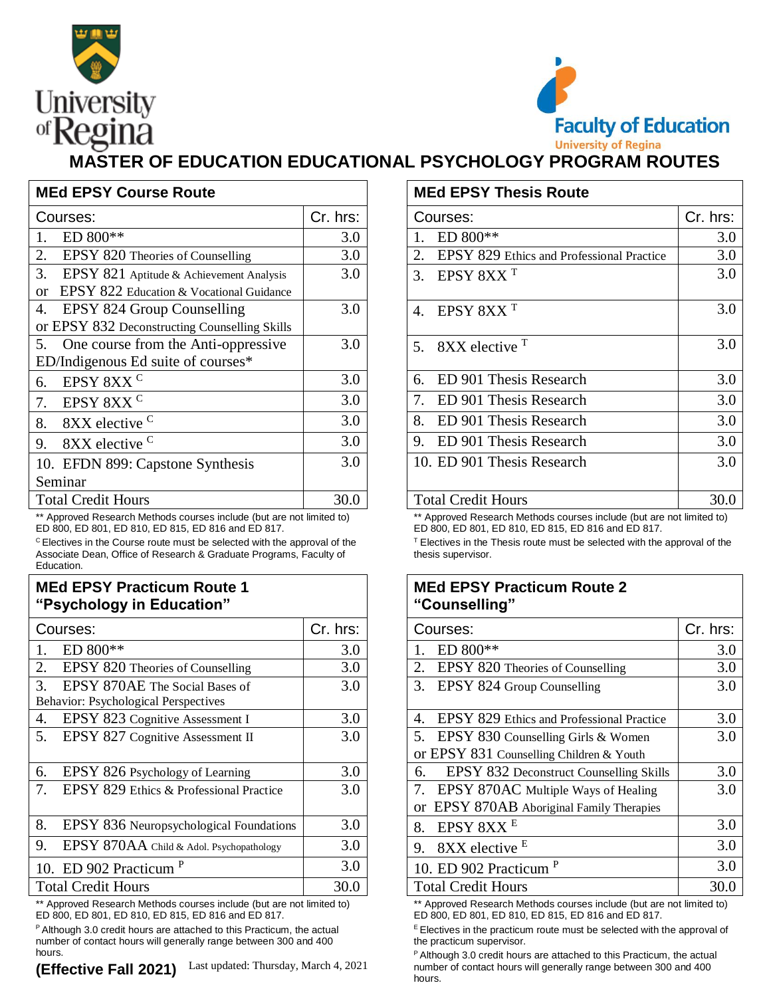



## **MASTER OF EDUCATION EDUCATIONAL PSYCHOLOGY PROGRAM ROUTES**

| <b>MEd EPSY Course Route</b>                   |          | <b>MEd EPSY Thesis Route</b>              |          |  |
|------------------------------------------------|----------|-------------------------------------------|----------|--|
| Courses:                                       | Cr. hrs: | Courses:                                  | Cr. hrs: |  |
| $ED 800**$                                     | 3.0      | $ED 800**$                                | 3.0      |  |
| 2.<br>EPSY 820 Theories of Counselling         | 3.0      | EPSY 829 Ethics and Professional Practice | 3.0      |  |
| 3.<br>EPSY 821 Aptitude & Achievement Analysis | 3.0      | 3. EPSY $8XXT$                            | 3.0      |  |
| EPSY 822 Education & Vocational Guidance<br>or |          |                                           |          |  |
| EPSY 824 Group Counselling<br>4.               | 3.0      | 4. EPSY $8XXT$                            | 3.0      |  |
| or EPSY 832 Deconstructing Counselling Skills  |          |                                           |          |  |
| 5. One course from the Anti-oppressive         | 3.0      | $8XX$ elective $T$<br>5 <sub>1</sub>      | 3.0      |  |
| ED/Indigenous Ed suite of courses*             |          |                                           |          |  |
| EPSY 8XX <sup>C</sup><br>6.                    | 3.0      | ED 901 Thesis Research<br>6.              | 3.0      |  |
| EPSY 8XX <sup>C</sup><br>7.                    | 3.0      | ED 901 Thesis Research                    | 3.0      |  |
| 8XX elective C<br>8.                           | 3.0      | ED 901 Thesis Research<br>8.              | 3.0      |  |
| 8XX elective <sup>C</sup><br>9.                | 3.0      | 9. ED 901 Thesis Research                 | 3.0      |  |
| 10. EFDN 899: Capstone Synthesis               | 3.0      | 10. ED 901 Thesis Research                | 3.0      |  |
| Seminar                                        |          |                                           |          |  |
| <b>Total Credit Hours</b>                      | 30.0     | <b>Total Credit Hours</b>                 | 30.0     |  |

Approved Research Methods courses include (but are not limited to) ED 800, ED 801, ED 810, ED 815, ED 816 and ED 817.

<sup>C</sup>Electives in the Course route must be selected with the approval of the Associate Dean, Office of Research & Graduate Programs, Faculty of Education.

## **MEd EPSY Practicum Route 1 "Psychology in Education"**

| Courses:                                                                                                                                                     | Cr. hrs: | Courses:                                        | Cr. hrs: |  |  |  |
|--------------------------------------------------------------------------------------------------------------------------------------------------------------|----------|-------------------------------------------------|----------|--|--|--|
| ED 800**                                                                                                                                                     | 3.0      | ED 800**                                        | 3.0      |  |  |  |
| EPSY 820 Theories of Counselling<br>2.                                                                                                                       | 3.0      | EPSY 820 Theories of Counselling<br>2.          | 3.0      |  |  |  |
| 3.<br>EPSY 870AE The Social Bases of                                                                                                                         | 3.0      | 3. EPSY 824 Group Counselling                   | 3.0      |  |  |  |
| Behavior: Psychological Perspectives                                                                                                                         |          |                                                 |          |  |  |  |
| EPSY 823 Cognitive Assessment I<br>4.                                                                                                                        | 3.0      | EPSY 829 Ethics and Professional Practice<br>4. | 3.0      |  |  |  |
| EPSY 827 Cognitive Assessment II<br>5.                                                                                                                       | 3.0      | 5. EPSY 830 Counselling Girls & Women           | 3.0      |  |  |  |
|                                                                                                                                                              |          | or EPSY 831 Counselling Children & Youth        |          |  |  |  |
| EPSY 826 Psychology of Learning<br>6.                                                                                                                        | 3.0      | EPSY 832 Deconstruct Counselling Skills<br>6.   | 3.0      |  |  |  |
| EPSY 829 Ethics & Professional Practice                                                                                                                      | 3.0      | 7. EPSY 870AC Multiple Ways of Healing          | 3.0      |  |  |  |
|                                                                                                                                                              |          | or EPSY 870AB Aboriginal Family Therapies       |          |  |  |  |
| 8.<br>EPSY 836 Neuropsychological Foundations                                                                                                                | 3.0      | EPSY 8XX <sup>E</sup><br>8.                     | 3.0      |  |  |  |
| 9.<br>EPSY 870AA Child & Adol. Psychopathology                                                                                                               | 3.0      | 9. 8XX elective $E$                             | 3.0      |  |  |  |
| 10. ED 902 Practicum <sup>P</sup>                                                                                                                            | 3.0      | 10. ED 902 Practicum <sup>P</sup>               | 3.0      |  |  |  |
| <b>Total Credit Hours</b>                                                                                                                                    | 30.0     | <b>Total Credit Hours</b>                       | 30.0     |  |  |  |
| ** Amanacca di Diagographia Mathamba anconana bantude (but ana nati lingita di ta)<br>** American Dessendr Methede seconde bedicate (bot sus not limited te) |          |                                                 |          |  |  |  |

Approved Research Methods courses include (but are not limited to) ED 800, ED 801, ED 810, ED 815, ED 816 and ED 817.

<sup>P</sup> Although 3.0 credit hours are attached to this Practicum, the actual number of contact hours will generally range between 300 and 400 hours.

|                  | <b>MEd EPSY Thesis Route</b>                    |          |  |  |  |  |
|------------------|-------------------------------------------------|----------|--|--|--|--|
| IS:              | Courses:                                        | Cr. hrs: |  |  |  |  |
| 3.0              | ED 800**                                        | 3.0      |  |  |  |  |
| 3.0              | 2.<br>EPSY 829 Ethics and Professional Practice | 3.0      |  |  |  |  |
| $\overline{3.0}$ | EPSY 8XX <sup>T</sup><br>3.                     | 3.0      |  |  |  |  |
| 3.0              | EPSY 8XX <sup>T</sup><br>4.                     | 3.0      |  |  |  |  |
| 3.0              | 8XX elective <sup>T</sup><br>5.                 | 3.0      |  |  |  |  |
| 3.0              | ED 901 Thesis Research<br>6.                    | 3.0      |  |  |  |  |
| 3.0              | ED 901 Thesis Research<br>7.                    | 3.0      |  |  |  |  |
| 3.0              | ED 901 Thesis Research<br>8.                    | 3.0      |  |  |  |  |
| $\overline{3.0}$ | ED 901 Thesis Research<br>9.                    | 3.0      |  |  |  |  |
| 3.0              | 10. ED 901 Thesis Research                      | 3.0      |  |  |  |  |
| 0.0              | <b>Total Credit Hours</b>                       | 30.0     |  |  |  |  |

\*\* Approved Research Methods courses include (but are not limited to) ED 800, ED 801, ED 810, ED 815, ED 816 and ED 817.

 $T$  Electives in the Thesis route must be selected with the approval of the thesis supervisor.

## **MEd EPSY Practicum Route 2 "Counselling"**

| rs:              | Courses:                                                                | Cr. hrs: |
|------------------|-------------------------------------------------------------------------|----------|
| 3.0              | ED 800**                                                                | 3.0      |
| 3.0              | EPSY 820 Theories of Counselling<br>2.                                  | 3.0      |
| $\overline{3.0}$ | 3.<br>EPSY 824 Group Counselling                                        | 3.0      |
|                  |                                                                         |          |
| 3.0              | EPSY 829 Ethics and Professional Practice<br>4.                         | 3.0      |
| $\overline{3.0}$ | 5. EPSY 830 Counselling Girls & Women                                   | 3.0      |
|                  | or EPSY 831 Counselling Children & Youth                                |          |
| 3.0              | EPSY 832 Deconstruct Counselling Skills<br>6.                           | 3.0      |
| $\overline{3.0}$ | EPSY 870AC Multiple Ways of Healing<br>$7_{\scriptscriptstyle{\ddots}}$ | 3.0      |
|                  | or EPSY 870AB Aboriginal Family Therapies                               |          |
| 3.0              | EPSY 8XX <sup>E</sup><br>8.                                             | 3.0      |
| $\overline{3.0}$ | 8XX elective <sup>E</sup><br>9.                                         | 3.0      |
| 3.0              | 10. ED 902 Practicum <sup>P</sup>                                       | 3.0      |
| $\overline{0.0}$ | <b>Total Credit Hours</b>                                               | 30.0     |

\*\* Approved Research Methods courses include (but are not limited to) ED 800, ED 801, ED 810, ED 815, ED 816 and ED 817.

 $E$  Electives in the practicum route must be selected with the approval of the practicum supervisor.

 $P$  Although 3.0 credit hours are attached to this Practicum, the actual number of contact hours will generally range between 300 and 400 hours.